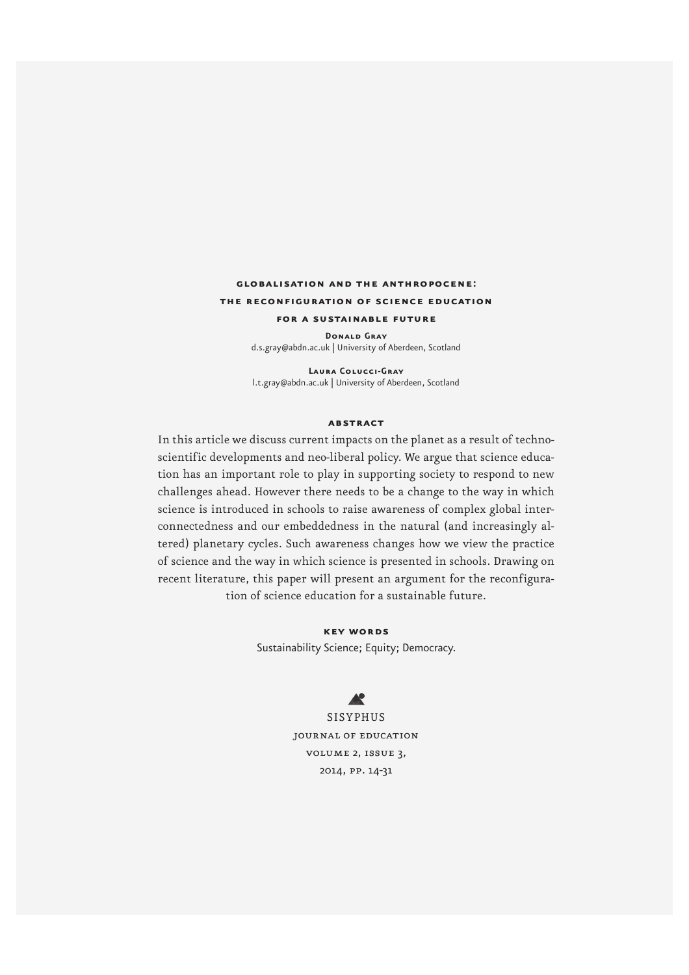# **globalisation and the anthropocene: the reconfiguration of science education for a sustainable future**

**Donald Gray**  d.s.gray@abdn.ac.uk | University of Aberdeen, Scotland

**Laura Colucci-Gray** l.t.gray@abdn.ac.uk | University of Aberdeen, Scotland

#### **abstract**

In this article we discuss current impacts on the planet as a result of technoscientific developments and neo-liberal policy. We argue that science education has an important role to play in supporting society to respond to new challenges ahead. However there needs to be a change to the way in which science is introduced in schools to raise awareness of complex global interconnectedness and our embeddedness in the natural (and increasingly altered) planetary cycles. Such awareness changes how we view the practice of science and the way in which science is presented in schools. Drawing on recent literature, this paper will present an argument for the reconfiguration of science education for a sustainable future.

> **key words** Sustainability Science; Equity; Democracy.

> > $\blacktriangle$

SISYPHUS journal of education volume 2, issue 3, 2014, pp. 14-31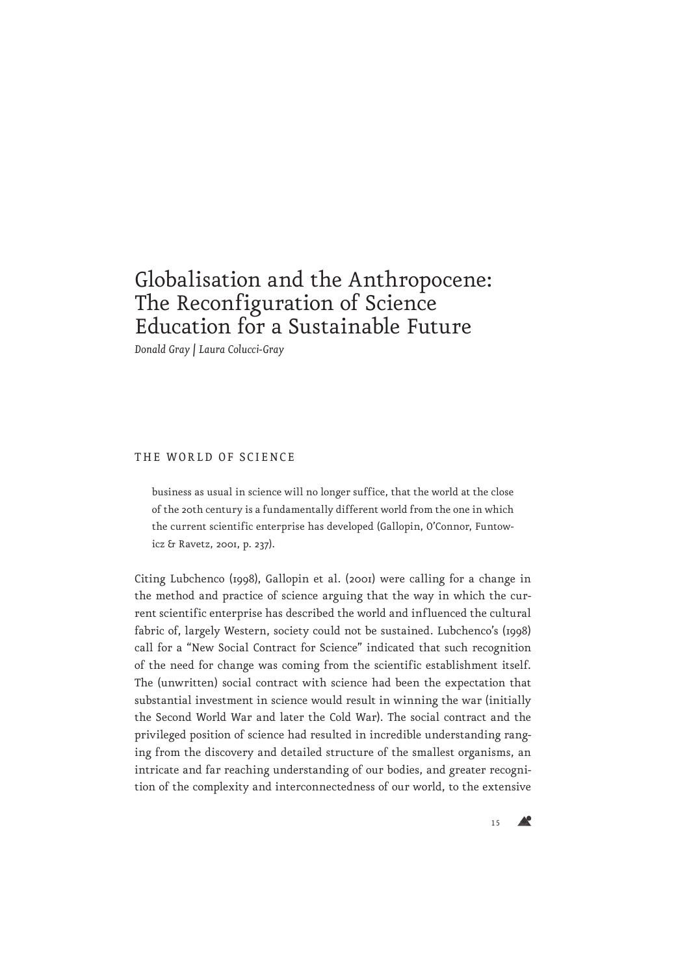# Globalisation and the Anthropocene: The Reconfiguration of Science Education for a Sustainable Future

*Donald Gray | Laura Colucci-Gray*

#### THE WORLD OF SCIENCE

business as usual in science will no longer suffice, that the world at the close of the 20th century is a fundamentally different world from the one in which the current scientific enterprise has developed (Gallopin, O'Connor, Funtowicz & Ravetz, 2001, p. 237).

Citing Lubchenco (1998), Gallopin et al. (2001) were calling for a change in the method and practice of science arguing that the way in which the current scientific enterprise has described the world and influenced the cultural fabric of, largely Western, society could not be sustained. Lubchenco's (1998) call for a "New Social Contract for Science" indicated that such recognition of the need for change was coming from the scientific establishment itself. The (unwritten) social contract with science had been the expectation that substantial investment in science would result in winning the war (initially the Second World War and later the Cold War). The social contract and the privileged position of science had resulted in incredible understanding ranging from the discovery and detailed structure of the smallest organisms, an intricate and far reaching understanding of our bodies, and greater recognition of the complexity and interconnectedness of our world, to the extensive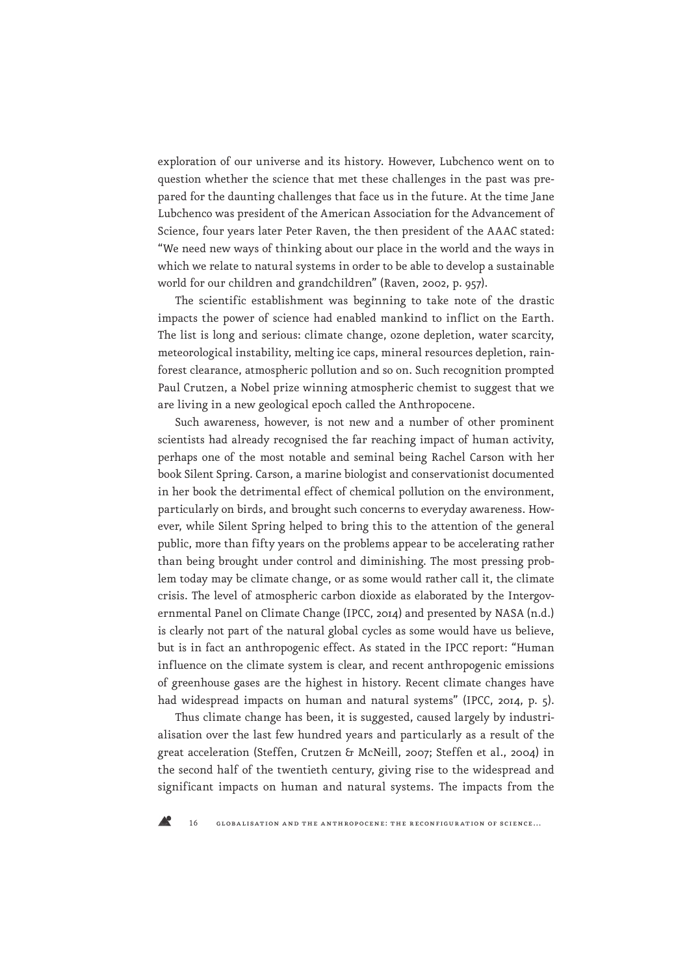exploration of our universe and its history. However, Lubchenco went on to question whether the science that met these challenges in the past was prepared for the daunting challenges that face us in the future. At the time Jane Lubchenco was president of the American Association for the Advancement of Science, four years later Peter Raven, the then president of the AAAC stated: "We need new ways of thinking about our place in the world and the ways in which we relate to natural systems in order to be able to develop a sustainable world for our children and grandchildren" (Raven, 2002, p. 957).

The scientific establishment was beginning to take note of the drastic impacts the power of science had enabled mankind to inflict on the Earth. The list is long and serious: climate change, ozone depletion, water scarcity, meteorological instability, melting ice caps, mineral resources depletion, rainforest clearance, atmospheric pollution and so on. Such recognition prompted Paul Crutzen, a Nobel prize winning atmospheric chemist to suggest that we are living in a new geological epoch called the Anthropocene.

Such awareness, however, is not new and a number of other prominent scientists had already recognised the far reaching impact of human activity, perhaps one of the most notable and seminal being Rachel Carson with her book Silent Spring. Carson, a marine biologist and conservationist documented in her book the detrimental effect of chemical pollution on the environment, particularly on birds, and brought such concerns to everyday awareness. However, while Silent Spring helped to bring this to the attention of the general public, more than fifty years on the problems appear to be accelerating rather than being brought under control and diminishing. The most pressing problem today may be climate change, or as some would rather call it, the climate crisis. The level of atmospheric carbon dioxide as elaborated by the Intergovernmental Panel on Climate Change (IPCC, 2014) and presented by NASA (n.d.) is clearly not part of the natural global cycles as some would have us believe, but is in fact an anthropogenic effect. As stated in the IPCC report: "Human influence on the climate system is clear, and recent anthropogenic emissions of greenhouse gases are the highest in history. Recent climate changes have had widespread impacts on human and natural systems" (IPCC, 2014, p. 5).

Thus climate change has been, it is suggested, caused largely by industrialisation over the last few hundred years and particularly as a result of the great acceleration (Steffen, Crutzen & McNeill, 2007; Steffen et al., 2004) in the second half of the twentieth century, giving rise to the widespread and significant impacts on human and natural systems. The impacts from the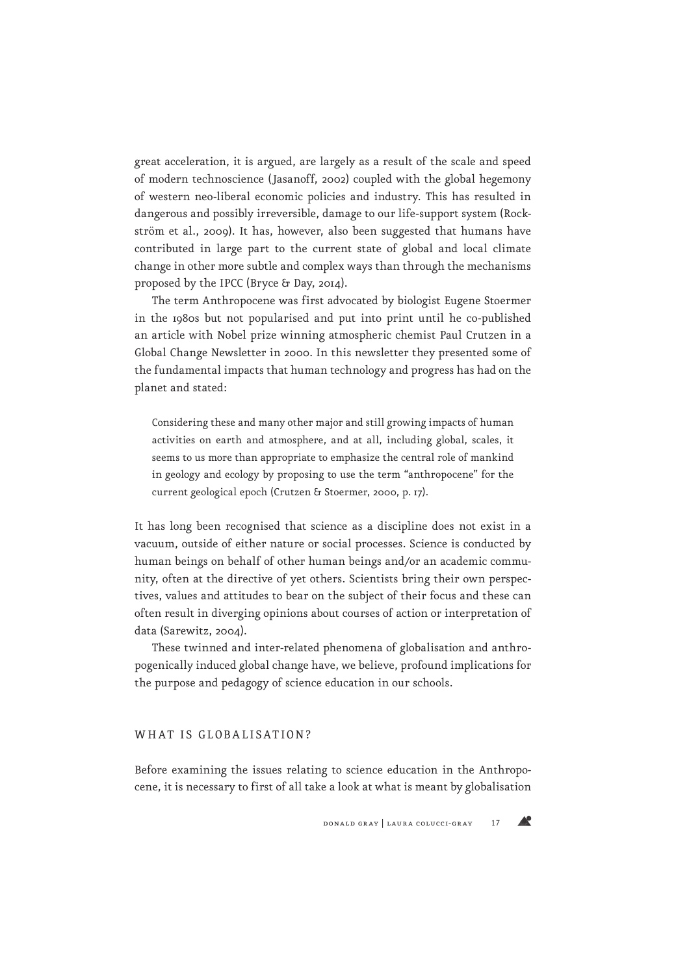great acceleration, it is argued, are largely as a result of the scale and speed of modern technoscience (Jasanoff, 2002) coupled with the global hegemony of western neo-liberal economic policies and industry. This has resulted in dangerous and possibly irreversible, damage to our life-support system (Rockström et al., 2009). It has, however, also been suggested that humans have contributed in large part to the current state of global and local climate change in other more subtle and complex ways than through the mechanisms proposed by the IPCC (Bryce & Day, 2014).

The term Anthropocene was first advocated by biologist Eugene Stoermer in the 1980s but not popularised and put into print until he co-published an article with Nobel prize winning atmospheric chemist Paul Crutzen in a Global Change Newsletter in 2000. In this newsletter they presented some of the fundamental impacts that human technology and progress has had on the planet and stated:

Considering these and many other major and still growing impacts of human activities on earth and atmosphere, and at all, including global, scales, it seems to us more than appropriate to emphasize the central role of mankind in geology and ecology by proposing to use the term "anthropocene" for the current geological epoch (Crutzen & Stoermer, 2000, p. 17).

It has long been recognised that science as a discipline does not exist in a vacuum, outside of either nature or social processes. Science is conducted by human beings on behalf of other human beings and/or an academic community, often at the directive of yet others. Scientists bring their own perspectives, values and attitudes to bear on the subject of their focus and these can often result in diverging opinions about courses of action or interpretation of data (Sarewitz, 2004).

These twinned and inter-related phenomena of globalisation and anthropogenically induced global change have, we believe, profound implications for the purpose and pedagogy of science education in our schools.

#### WHAT IS GLOBALISATION?

Before examining the issues relating to science education in the Anthropocene, it is necessary to first of all take a look at what is meant by globalisation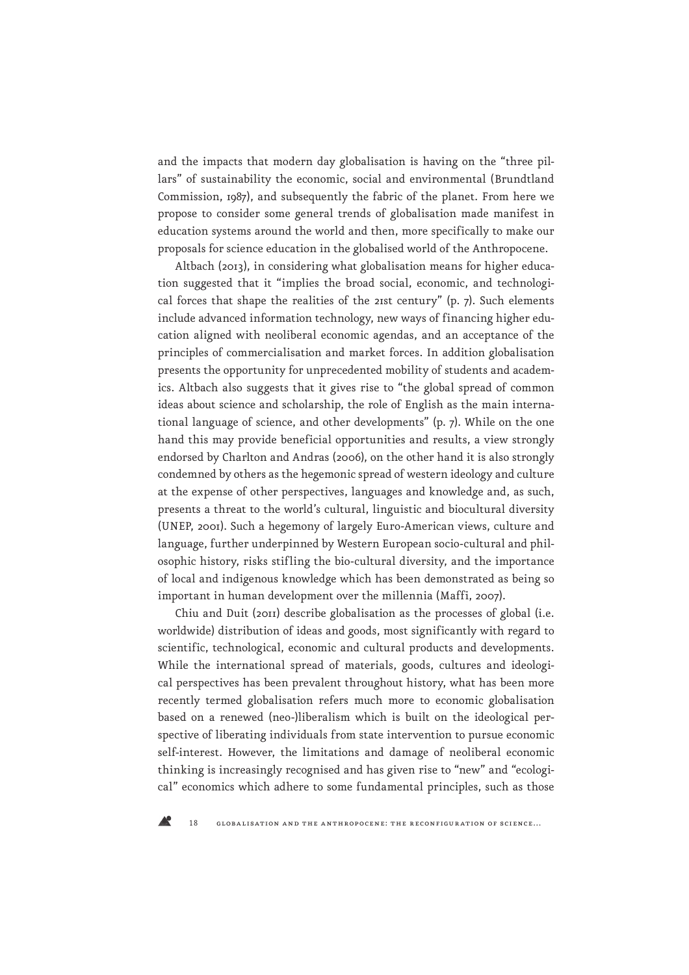and the impacts that modern day globalisation is having on the "three pillars" of sustainability the economic, social and environmental (Brundtland Commission, 1987), and subsequently the fabric of the planet. From here we propose to consider some general trends of globalisation made manifest in education systems around the world and then, more specifically to make our proposals for science education in the globalised world of the Anthropocene.

Altbach (2013), in considering what globalisation means for higher education suggested that it "implies the broad social, economic, and technological forces that shape the realities of the 21st century" (p. 7). Such elements include advanced information technology, new ways of financing higher education aligned with neoliberal economic agendas, and an acceptance of the principles of commercialisation and market forces. In addition globalisation presents the opportunity for unprecedented mobility of students and academics. Altbach also suggests that it gives rise to "the global spread of common ideas about science and scholarship, the role of English as the main international language of science, and other developments" (p. 7). While on the one hand this may provide beneficial opportunities and results, a view strongly endorsed by Charlton and Andras (2006), on the other hand it is also strongly condemned by others as the hegemonic spread of western ideology and culture at the expense of other perspectives, languages and knowledge and, as such, presents a threat to the world's cultural, linguistic and biocultural diversity (UNEP, 2001). Such a hegemony of largely Euro-American views, culture and language, further underpinned by Western European socio-cultural and philosophic history, risks stifling the bio-cultural diversity, and the importance of local and indigenous knowledge which has been demonstrated as being so important in human development over the millennia (Maffi, 2007).

Chiu and Duit (2011) describe globalisation as the processes of global (i.e. worldwide) distribution of ideas and goods, most significantly with regard to scientific, technological, economic and cultural products and developments. While the international spread of materials, goods, cultures and ideological perspectives has been prevalent throughout history, what has been more recently termed globalisation refers much more to economic globalisation based on a renewed (neo-)liberalism which is built on the ideological perspective of liberating individuals from state intervention to pursue economic self-interest. However, the limitations and damage of neoliberal economic thinking is increasingly recognised and has given rise to "new" and "ecological" economics which adhere to some fundamental principles, such as those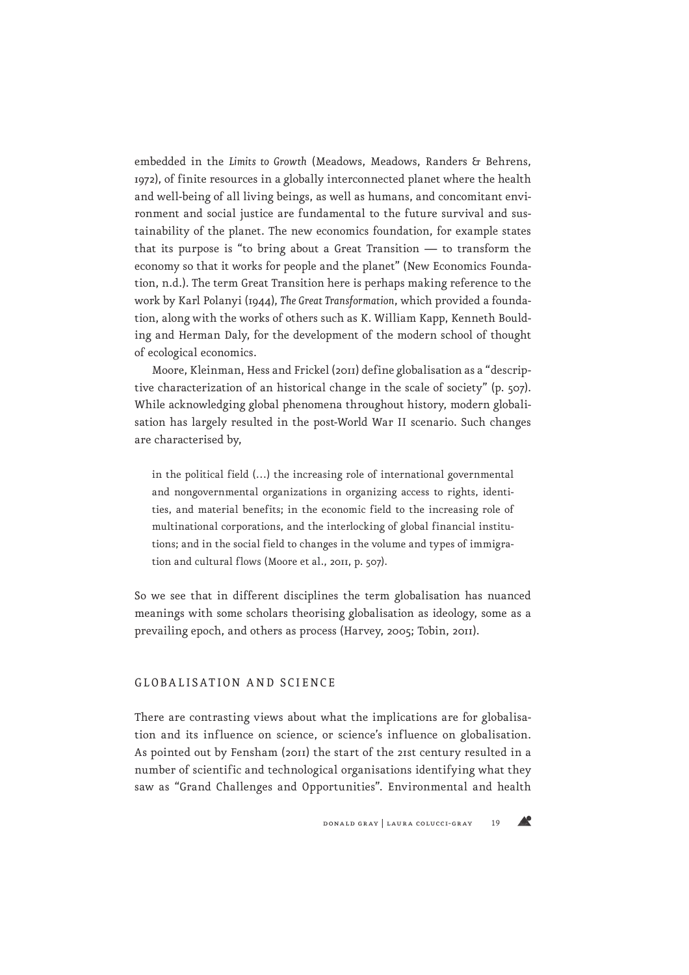embedded in the *Limits to Growth* (Meadows, Meadows, Randers & Behrens, 1972), of finite resources in a globally interconnected planet where the health and well-being of all living beings, as well as humans, and concomitant environment and social justice are fundamental to the future survival and sustainability of the planet. The new economics foundation, for example states that its purpose is "to bring about a Great Transition — to transform the economy so that it works for people and the planet" (New Economics Foundation, n.d.). The term Great Transition here is perhaps making reference to the work by Karl Polanyi (1944), *The Great Transformation*, which provided a foundation, along with the works of others such as K. William Kapp, Kenneth Boulding and Herman Daly, for the development of the modern school of thought of ecological economics.

Moore, Kleinman, Hess and Frickel (2011) define globalisation as a "descriptive characterization of an historical change in the scale of society" (p. 507). While acknowledging global phenomena throughout history, modern globalisation has largely resulted in the post-World War II scenario. Such changes are characterised by,

in the political field (…) the increasing role of international governmental and nongovernmental organizations in organizing access to rights, identities, and material benefits; in the economic field to the increasing role of multinational corporations, and the interlocking of global financial institutions; and in the social field to changes in the volume and types of immigration and cultural flows (Moore et al., 2011, p. 507).

So we see that in different disciplines the term globalisation has nuanced meanings with some scholars theorising globalisation as ideology, some as a prevailing epoch, and others as process (Harvey, 2005; Tobin, 2011).

#### GLOBALISATION AND SCIENCE

There are contrasting views about what the implications are for globalisation and its influence on science, or science's influence on globalisation. As pointed out by Fensham (2011) the start of the 21st century resulted in a number of scientific and technological organisations identifying what they saw as "Grand Challenges and Opportunities". Environmental and health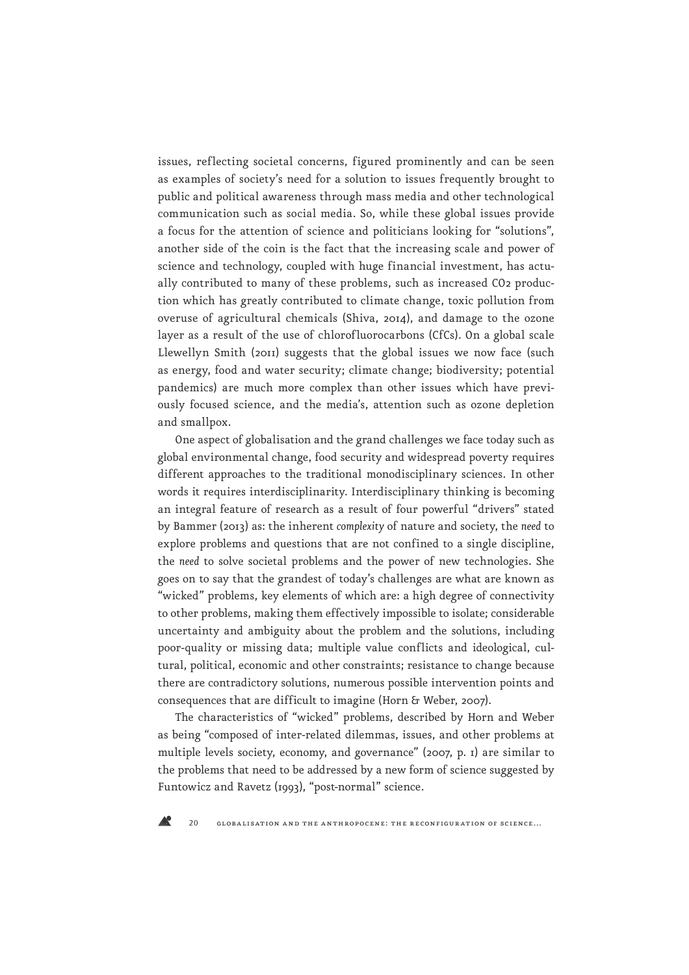issues, reflecting societal concerns, figured prominently and can be seen as examples of society's need for a solution to issues frequently brought to public and political awareness through mass media and other technological communication such as social media. So, while these global issues provide a focus for the attention of science and politicians looking for "solutions", another side of the coin is the fact that the increasing scale and power of science and technology, coupled with huge financial investment, has actually contributed to many of these problems, such as increased CO2 production which has greatly contributed to climate change, toxic pollution from overuse of agricultural chemicals (Shiva, 2014), and damage to the ozone layer as a result of the use of chlorofluorocarbons (CfCs). On a global scale Llewellyn Smith (2011) suggests that the global issues we now face (such as energy, food and water security; climate change; biodiversity; potential pandemics) are much more complex than other issues which have previously focused science, and the media's, attention such as ozone depletion and smallpox.

One aspect of globalisation and the grand challenges we face today such as global environmental change, food security and widespread poverty requires different approaches to the traditional monodisciplinary sciences. In other words it requires interdisciplinarity. Interdisciplinary thinking is becoming an integral feature of research as a result of four powerful "drivers" stated by Bammer (2013) as: the inherent *complexity* of nature and society, the *need* to explore problems and questions that are not confined to a single discipline, the *need* to solve societal problems and the power of new technologies. She goes on to say that the grandest of today's challenges are what are known as "wicked" problems, key elements of which are: a high degree of connectivity to other problems, making them effectively impossible to isolate; considerable uncertainty and ambiguity about the problem and the solutions, including poor-quality or missing data; multiple value conflicts and ideological, cultural, political, economic and other constraints; resistance to change because there are contradictory solutions, numerous possible intervention points and consequences that are difficult to imagine (Horn & Weber, 2007).

The characteristics of "wicked" problems, described by Horn and Weber as being "composed of inter-related dilemmas, issues, and other problems at multiple levels society, economy, and governance" (2007, p. 1) are similar to the problems that need to be addressed by a new form of science suggested by Funtowicz and Ravetz (1993), "post-normal" science.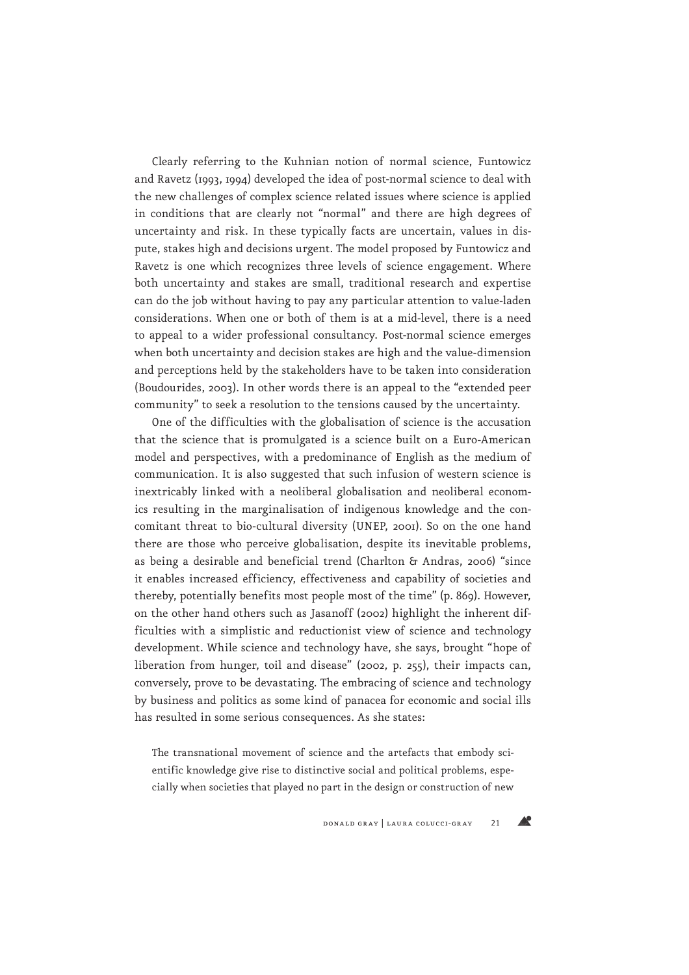Clearly referring to the Kuhnian notion of normal science, Funtowicz and Ravetz (1993, 1994) developed the idea of post-normal science to deal with the new challenges of complex science related issues where science is applied in conditions that are clearly not "normal" and there are high degrees of uncertainty and risk. In these typically facts are uncertain, values in dispute, stakes high and decisions urgent. The model proposed by Funtowicz and Ravetz is one which recognizes three levels of science engagement. Where both uncertainty and stakes are small, traditional research and expertise can do the job without having to pay any particular attention to value-laden considerations. When one or both of them is at a mid-level, there is a need to appeal to a wider professional consultancy. Post-normal science emerges when both uncertainty and decision stakes are high and the value-dimension and perceptions held by the stakeholders have to be taken into consideration (Boudourides, 2003). In other words there is an appeal to the "extended peer community" to seek a resolution to the tensions caused by the uncertainty.

One of the difficulties with the globalisation of science is the accusation that the science that is promulgated is a science built on a Euro-American model and perspectives, with a predominance of English as the medium of communication. It is also suggested that such infusion of western science is inextricably linked with a neoliberal globalisation and neoliberal economics resulting in the marginalisation of indigenous knowledge and the concomitant threat to bio-cultural diversity (UNEP, 2001). So on the one hand there are those who perceive globalisation, despite its inevitable problems, as being a desirable and beneficial trend (Charlton & Andras, 2006) "since it enables increased efficiency, effectiveness and capability of societies and thereby, potentially benefits most people most of the time" (p. 869). However, on the other hand others such as Jasanoff (2002) highlight the inherent difficulties with a simplistic and reductionist view of science and technology development. While science and technology have, she says, brought "hope of liberation from hunger, toil and disease" (2002, p. 255), their impacts can, conversely, prove to be devastating. The embracing of science and technology by business and politics as some kind of panacea for economic and social ills has resulted in some serious consequences. As she states:

The transnational movement of science and the artefacts that embody scientific knowledge give rise to distinctive social and political problems, especially when societies that played no part in the design or construction of new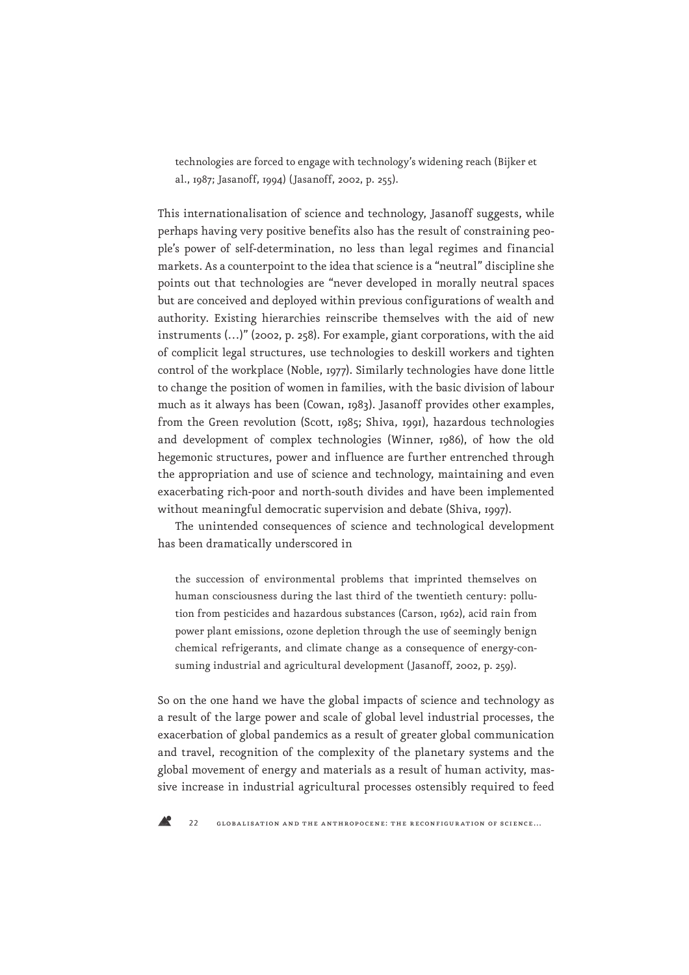technologies are forced to engage with technology's widening reach (Bijker et al., 1987; Jasanoff, 1994) (Jasanoff, 2002, p. 255).

This internationalisation of science and technology, Jasanoff suggests, while perhaps having very positive benefits also has the result of constraining people's power of self-determination, no less than legal regimes and financial markets. As a counterpoint to the idea that science is a "neutral" discipline she points out that technologies are "never developed in morally neutral spaces but are conceived and deployed within previous configurations of wealth and authority. Existing hierarchies reinscribe themselves with the aid of new instruments (…)" (2002, p. 258). For example, giant corporations, with the aid of complicit legal structures, use technologies to deskill workers and tighten control of the workplace (Noble, 1977). Similarly technologies have done little to change the position of women in families, with the basic division of labour much as it always has been (Cowan, 1983). Jasanoff provides other examples, from the Green revolution (Scott, 1985; Shiva, 1991), hazardous technologies and development of complex technologies (Winner, 1986), of how the old hegemonic structures, power and influence are further entrenched through the appropriation and use of science and technology, maintaining and even exacerbating rich-poor and north-south divides and have been implemented without meaningful democratic supervision and debate (Shiva, 1997).

The unintended consequences of science and technological development has been dramatically underscored in

the succession of environmental problems that imprinted themselves on human consciousness during the last third of the twentieth century: pollution from pesticides and hazardous substances (Carson, 1962), acid rain from power plant emissions, ozone depletion through the use of seemingly benign chemical refrigerants, and climate change as a consequence of energy-consuming industrial and agricultural development (Jasanoff, 2002, p. 259).

So on the one hand we have the global impacts of science and technology as a result of the large power and scale of global level industrial processes, the exacerbation of global pandemics as a result of greater global communication and travel, recognition of the complexity of the planetary systems and the global movement of energy and materials as a result of human activity, massive increase in industrial agricultural processes ostensibly required to feed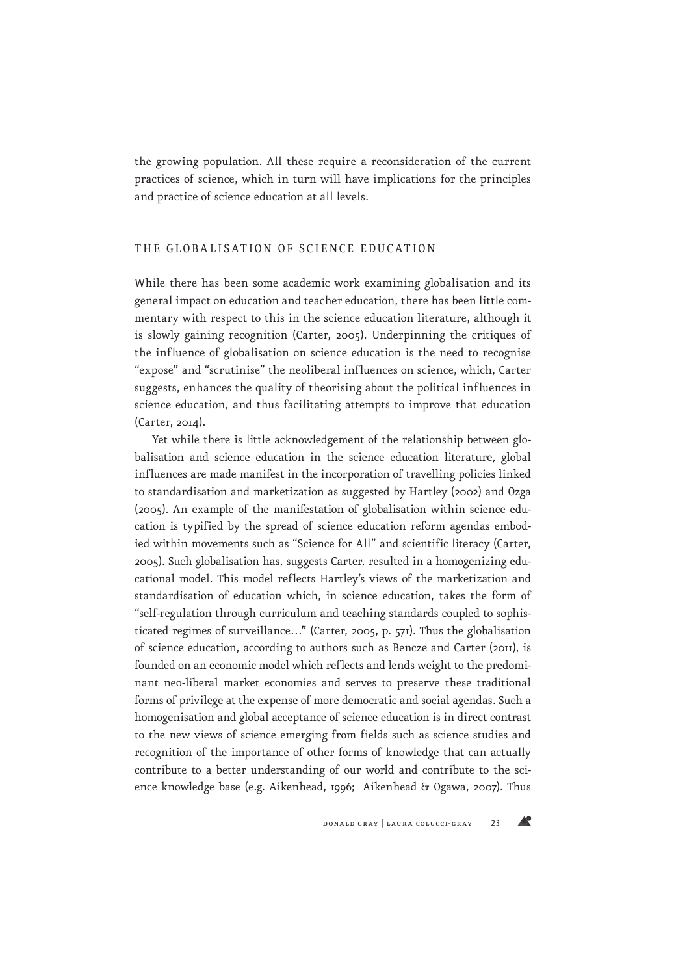the growing population. All these require a reconsideration of the current practices of science, which in turn will have implications for the principles and practice of science education at all levels.

## THE GLOBALISATION OF SCIENCE EDUCATION

While there has been some academic work examining globalisation and its general impact on education and teacher education, there has been little commentary with respect to this in the science education literature, although it is slowly gaining recognition (Carter, 2005). Underpinning the critiques of the influence of globalisation on science education is the need to recognise "expose" and "scrutinise" the neoliberal influences on science, which, Carter suggests, enhances the quality of theorising about the political influences in science education, and thus facilitating attempts to improve that education (Carter, 2014).

Yet while there is little acknowledgement of the relationship between globalisation and science education in the science education literature, global influences are made manifest in the incorporation of travelling policies linked to standardisation and marketization as suggested by Hartley (2002) and Ozga (2005). An example of the manifestation of globalisation within science education is typified by the spread of science education reform agendas embodied within movements such as "Science for All" and scientific literacy (Carter, 2005). Such globalisation has, suggests Carter, resulted in a homogenizing educational model. This model reflects Hartley's views of the marketization and standardisation of education which, in science education, takes the form of "self-regulation through curriculum and teaching standards coupled to sophisticated regimes of surveillance…" (Carter, 2005, p. 571). Thus the globalisation of science education, according to authors such as Bencze and Carter (2011), is founded on an economic model which reflects and lends weight to the predominant neo-liberal market economies and serves to preserve these traditional forms of privilege at the expense of more democratic and social agendas. Such a homogenisation and global acceptance of science education is in direct contrast to the new views of science emerging from fields such as science studies and recognition of the importance of other forms of knowledge that can actually contribute to a better understanding of our world and contribute to the science knowledge base (e.g. Aikenhead, 1996; Aikenhead & Ogawa, 2007). Thus

**AP**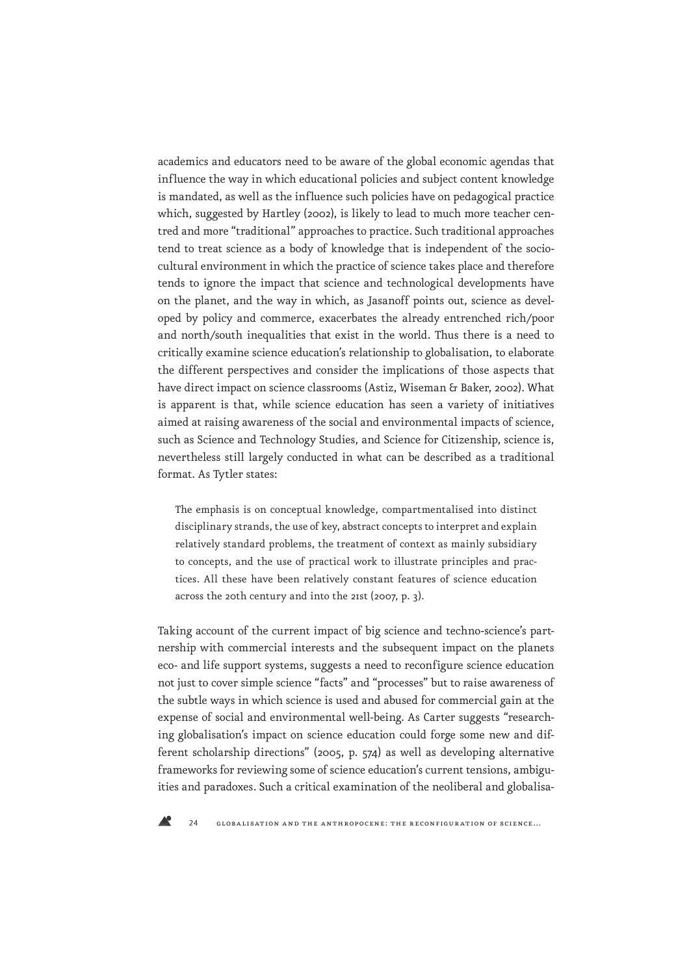academics and educators need to be aware of the global economic agendas that influence the way in which educational policies and subject content knowledge is mandated, as well as the influence such policies have on pedagogical practice which, suggested by Hartley (2002), is likely to lead to much more teacher centred and more "traditional" approaches to practice. Such traditional approaches tend to treat science as a body of knowledge that is independent of the sociocultural environment in which the practice of science takes place and therefore tends to ignore the impact that science and technological developments have on the planet, and the way in which, as Jasanoff points out, science as developed by policy and commerce, exacerbates the already entrenched rich/poor and north/south inequalities that exist in the world. Thus there is a need to critically examine science education's relationship to globalisation, to elaborate the different perspectives and consider the implications of those aspects that have direct impact on science classrooms (Astiz, Wiseman & Baker, 2002). What is apparent is that, while science education has seen a variety of initiatives aimed at raising awareness of the social and environmental impacts of science, such as Science and Technology Studies, and Science for Citizenship, science is, nevertheless still largely conducted in what can be described as a traditional format. As Tytler states:

The emphasis is on conceptual knowledge, compartmentalised into distinct disciplinary strands, the use of key, abstract concepts to interpret and explain relatively standard problems, the treatment of context as mainly subsidiary to concepts, and the use of practical work to illustrate principles and practices. All these have been relatively constant features of science education across the 20th century and into the 21st (2007, p. 3).

Taking account of the current impact of big science and techno-science's partnership with commercial interests and the subsequent impact on the planets eco- and life support systems, suggests a need to reconfigure science education not just to cover simple science "facts" and "processes" but to raise awareness of the subtle ways in which science is used and abused for commercial gain at the expense of social and environmental well-being. As Carter suggests "researching globalisation's impact on science education could forge some new and different scholarship directions" (2005, p. 574) as well as developing alternative frameworks for reviewing some of science education's current tensions, ambiguities and paradoxes. Such a critical examination of the neoliberal and globalisa-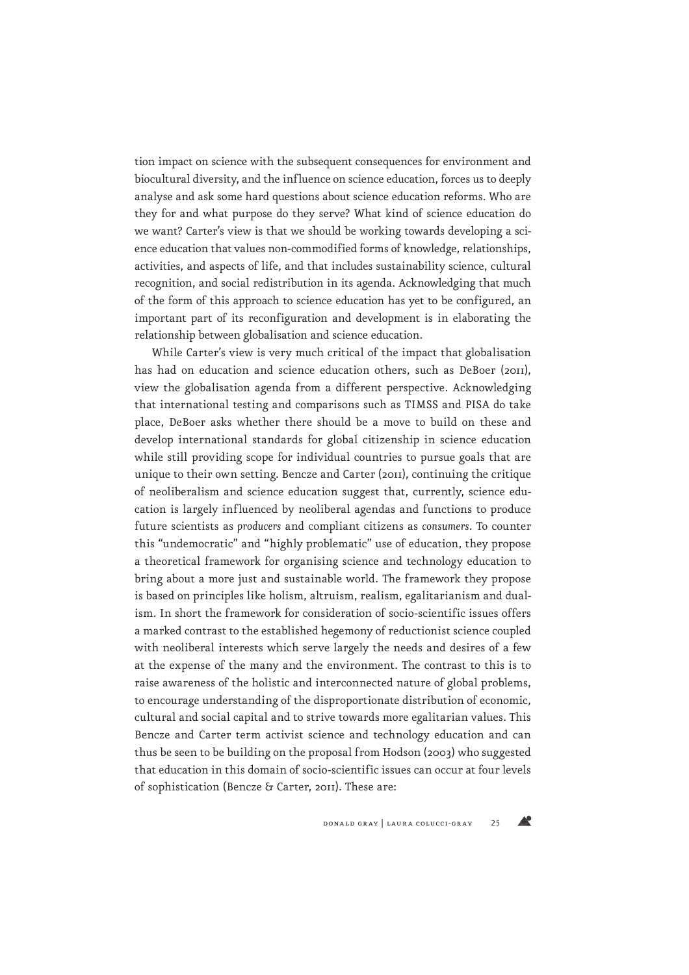tion impact on science with the subsequent consequences for environment and biocultural diversity, and the influence on science education, forces us to deeply analyse and ask some hard questions about science education reforms. Who are they for and what purpose do they serve? What kind of science education do we want? Carter's view is that we should be working towards developing a science education that values non-commodified forms of knowledge, relationships, activities, and aspects of life, and that includes sustainability science, cultural recognition, and social redistribution in its agenda. Acknowledging that much of the form of this approach to science education has yet to be configured, an important part of its reconfiguration and development is in elaborating the relationship between globalisation and science education.

While Carter's view is very much critical of the impact that globalisation has had on education and science education others, such as DeBoer (2011), view the globalisation agenda from a different perspective. Acknowledging that international testing and comparisons such as TIMSS and PISA do take place, DeBoer asks whether there should be a move to build on these and develop international standards for global citizenship in science education while still providing scope for individual countries to pursue goals that are unique to their own setting. Bencze and Carter (2011), continuing the critique of neoliberalism and science education suggest that, currently, science education is largely influenced by neoliberal agendas and functions to produce future scientists as *producers* and compliant citizens as *consumers*. To counter this "undemocratic" and "highly problematic" use of education, they propose a theoretical framework for organising science and technology education to bring about a more just and sustainable world. The framework they propose is based on principles like holism, altruism, realism, egalitarianism and dualism. In short the framework for consideration of socio-scientific issues offers a marked contrast to the established hegemony of reductionist science coupled with neoliberal interests which serve largely the needs and desires of a few at the expense of the many and the environment. The contrast to this is to raise awareness of the holistic and interconnected nature of global problems, to encourage understanding of the disproportionate distribution of economic, cultural and social capital and to strive towards more egalitarian values. This Bencze and Carter term activist science and technology education and can thus be seen to be building on the proposal from Hodson (2003) who suggested that education in this domain of socio-scientific issues can occur at four levels of sophistication (Bencze & Carter, 2011). These are:

Æ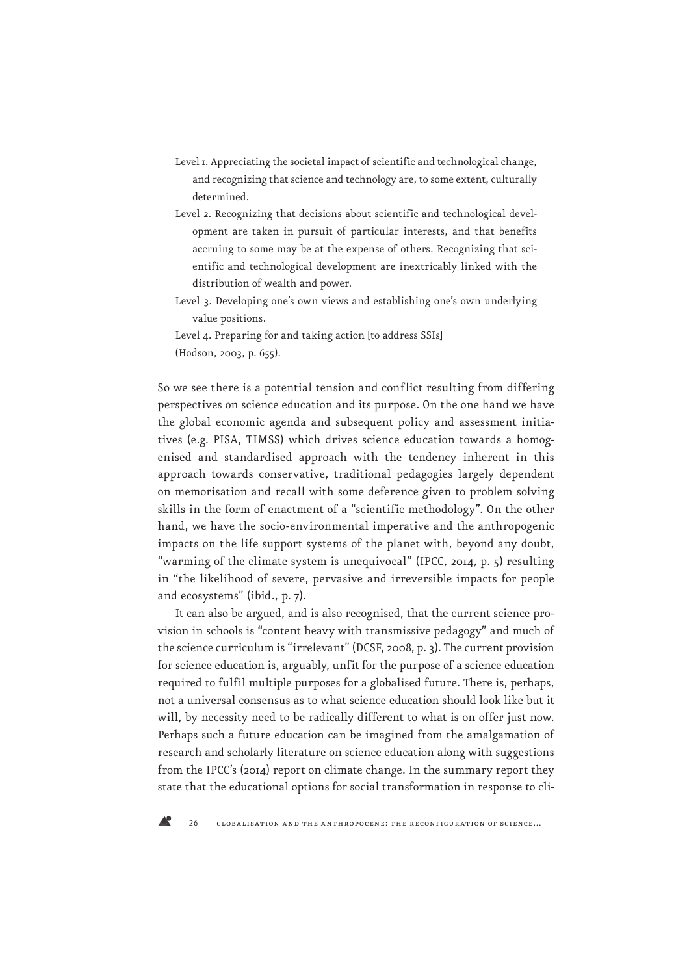- Level 1. Appreciating the societal impact of scientific and technological change, and recognizing that science and technology are, to some extent, culturally determined.
- Level 2. Recognizing that decisions about scientific and technological development are taken in pursuit of particular interests, and that benefits accruing to some may be at the expense of others. Recognizing that scientific and technological development are inextricably linked with the distribution of wealth and power.
- Level 3. Developing one's own views and establishing one's own underlying value positions.
- Level 4. Preparing for and taking action [to address SSIs]

So we see there is a potential tension and conflict resulting from differing perspectives on science education and its purpose. On the one hand we have the global economic agenda and subsequent policy and assessment initiatives (e.g. PISA, TIMSS) which drives science education towards a homogenised and standardised approach with the tendency inherent in this approach towards conservative, traditional pedagogies largely dependent on memorisation and recall with some deference given to problem solving skills in the form of enactment of a "scientific methodology". On the other hand, we have the socio-environmental imperative and the anthropogenic impacts on the life support systems of the planet with, beyond any doubt, "warming of the climate system is unequivocal" (IPCC, 2014, p. 5) resulting in "the likelihood of severe, pervasive and irreversible impacts for people and ecosystems" (ibid., p. 7).

It can also be argued, and is also recognised, that the current science provision in schools is "content heavy with transmissive pedagogy" and much of the science curriculum is "irrelevant" (DCSF, 2008, p. 3). The current provision for science education is, arguably, unfit for the purpose of a science education required to fulfil multiple purposes for a globalised future. There is, perhaps, not a universal consensus as to what science education should look like but it will, by necessity need to be radically different to what is on offer just now. Perhaps such a future education can be imagined from the amalgamation of research and scholarly literature on science education along with suggestions from the IPCC's (2014) report on climate change. In the summary report they state that the educational options for social transformation in response to cli-

<sup>(</sup>Hodson, 2003, p. 655).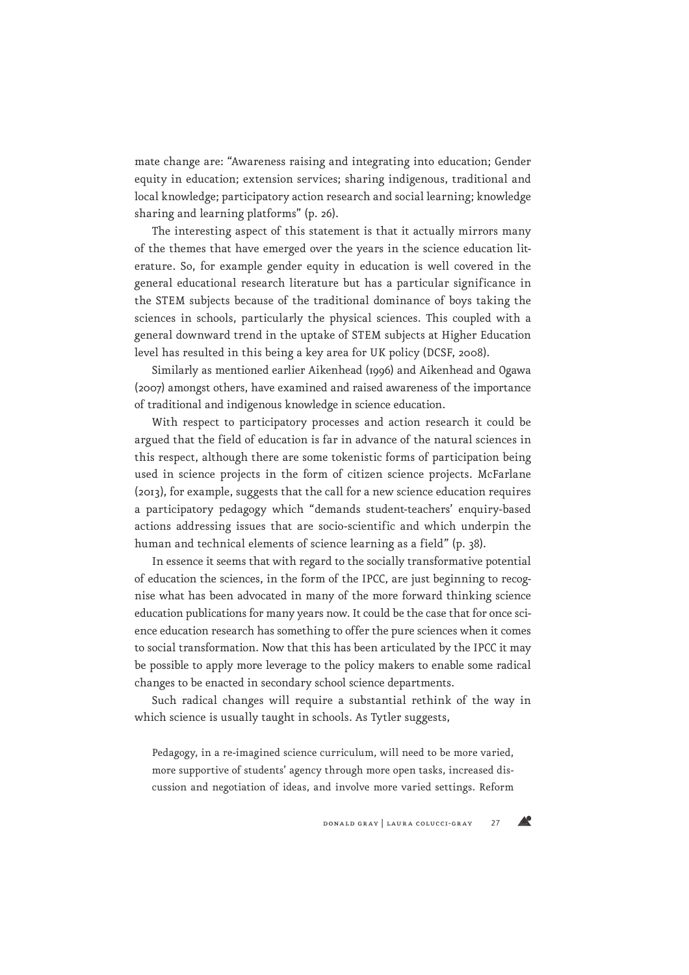mate change are: "Awareness raising and integrating into education; Gender equity in education; extension services; sharing indigenous, traditional and local knowledge; participatory action research and social learning; knowledge sharing and learning platforms" (p. 26).

The interesting aspect of this statement is that it actually mirrors many of the themes that have emerged over the years in the science education literature. So, for example gender equity in education is well covered in the general educational research literature but has a particular significance in the STEM subjects because of the traditional dominance of boys taking the sciences in schools, particularly the physical sciences. This coupled with a general downward trend in the uptake of STEM subjects at Higher Education level has resulted in this being a key area for UK policy (DCSF, 2008).

Similarly as mentioned earlier Aikenhead (1996) and Aikenhead and Ogawa (2007) amongst others, have examined and raised awareness of the importance of traditional and indigenous knowledge in science education.

With respect to participatory processes and action research it could be argued that the field of education is far in advance of the natural sciences in this respect, although there are some tokenistic forms of participation being used in science projects in the form of citizen science projects. McFarlane (2013), for example, suggests that the call for a new science education requires a participatory pedagogy which "demands student-teachers' enquiry-based actions addressing issues that are socio-scientific and which underpin the human and technical elements of science learning as a field" (p. 38).

In essence it seems that with regard to the socially transformative potential of education the sciences, in the form of the IPCC, are just beginning to recognise what has been advocated in many of the more forward thinking science education publications for many years now. It could be the case that for once science education research has something to offer the pure sciences when it comes to social transformation. Now that this has been articulated by the IPCC it may be possible to apply more leverage to the policy makers to enable some radical changes to be enacted in secondary school science departments.

Such radical changes will require a substantial rethink of the way in which science is usually taught in schools. As Tytler suggests,

Pedagogy, in a re-imagined science curriculum, will need to be more varied, more supportive of students' agency through more open tasks, increased discussion and negotiation of ideas, and involve more varied settings. Reform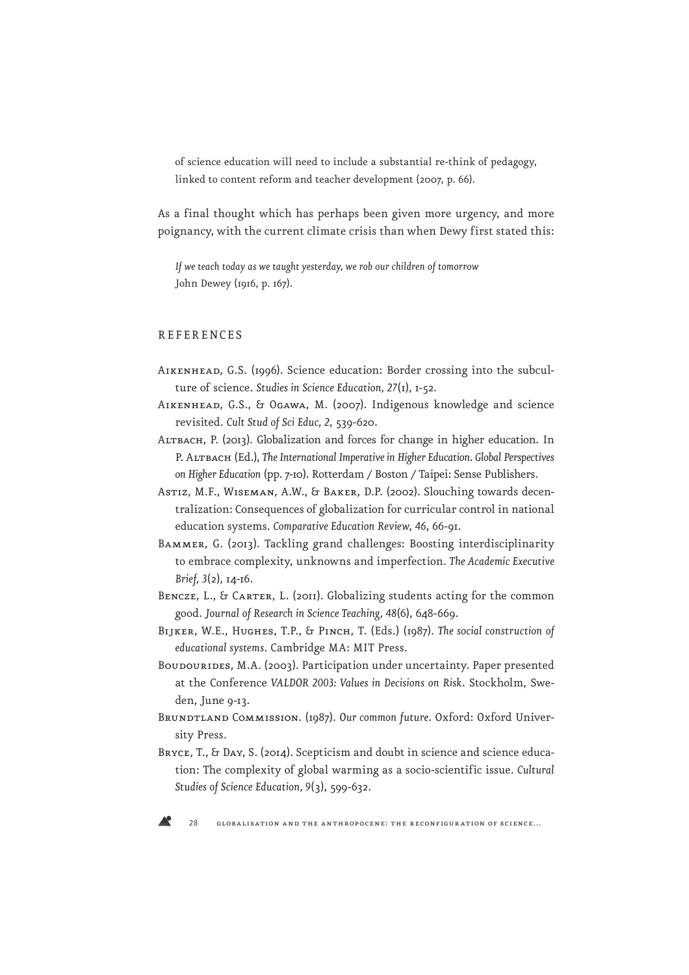of science education will need to include a substantial re-think of pedagogy, linked to content reform and teacher development (2007, p. 66).

As a final thought which has perhaps been given more urgency, and more poignancy, with the current climate crisis than when Dewy first stated this:

*If we teach today as we taught yesterday, we rob our children of tomorrow*  John Dewey (1916, p. 167).

### **REFERENCES**

- Aikenhead, G.S. (1996). Science education: Border crossing into the subculture of science. *Studies in Science Education, 27*(1), 1-52.
- Aikenhead, G.S., & Ogawa, M. (2007). Indigenous knowledge and science revisited. *Cult Stud of Sci Educ, 2*, 539-620.
- ALTBACH, P. (2013). Globalization and forces for change in higher education. In P. ALTBACH (Ed.), The International Imperative in Higher Education. Global Perspectives *on Higher Education* (pp. 7-10). Rotterdam / Boston / Taipei: Sense Publishers.
- ASTIZ, M.F., WISEMAN, A.W., & BAKER, D.P. (2002). Slouching towards decentralization: Consequences of globalization for curricular control in national education systems. *Comparative Education Review*, *46*, 66-91.
- BAMMER, G. (2013). Tackling grand challenges: Boosting interdisciplinarity to embrace complexity, unknowns and imperfection. *The Academic Executive Brief, 3*(2), 14-16.
- BENCZE, L., & CARTER, L. (2011). Globalizing students acting for the common good. *Journal of Research in Science Teaching, 48*(6), 648-669.
- BIJKER, W.E., HUGHES, T.P., & PINCH, T. (Eds.) (1987). The social construction of *educational systems*. Cambridge MA: MIT Press.
- BOUDOURIDES, M.A. (2003). Participation under uncertainty. Paper presented at the Conference *VALDOR 2003: Values in Decisions on Risk*. Stockholm, Sweden, June 9-13.
- BRUNDTLAND COMMISSION. (1987). Our common future. Oxford: Oxford University Press.
- BRYCE, T., & DAY, S. (2014). Scepticism and doubt in science and science education: The complexity of global warming as a socio-scientific issue. *Cultural Studies of Science Education, 9*(3), 599-632.

28 globalisation and the anthropocene: the reconfiguration of science…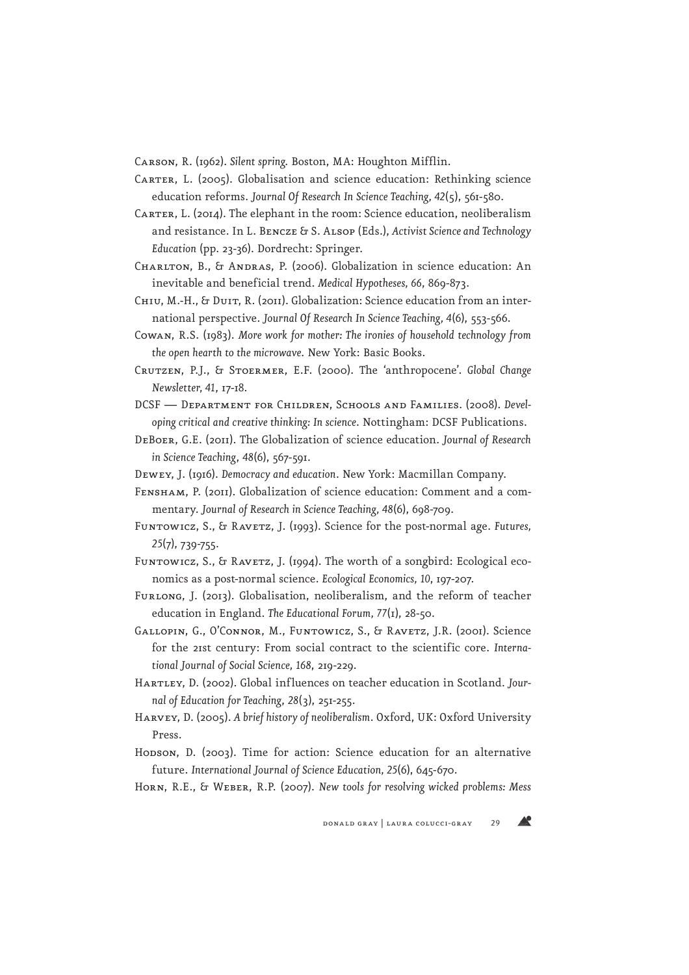Carson, R. (1962). *Silent spring*. Boston, MA: Houghton Mifflin.

- CARTER, L. (2005). Globalisation and science education: Rethinking science education reforms. *Journal Of Research In Science Teaching, 42*(5), 561-580.
- CARTER, L. (2014). The elephant in the room: Science education, neoliberalism and resistance. In L. Bencze & S. Alsop (Eds.), *Activist Science and Technology Education* (pp. 23-36). Dordrecht: Springer.
- Charlton, B., & Andras, P. (2006). Globalization in science education: An inevitable and beneficial trend. *Medical Hypotheses, 66*, 869-873.
- CHIU, M.-H., & DUIT, R. (2011). Globalization: Science education from an international perspective. *Journal Of Research In Science Teaching, 4*(6), 553-566.
- Cowan, R.S. (1983). *More work for mother: The ironies of household technology from the open hearth to the microwave*. New York: Basic Books.
- Crutzen, P.J., & Stoermer, E.F. (2000). The 'anthropocene'. *Global Change Newsletter, 41*, 17-18.
- DCSF Department for Children, Schools and Families. (2008). *Developing critical and creative thinking: In science*. Nottingham: DCSF Publications.
- DeBoer, G.E. (2011). The Globalization of science education. *Journal of Research in Science Teaching*, *48*(6), 567-591.
- Dewey, J. (1916). *Democracy and education*. New York: Macmillan Company.
- Fensham, P. (2011). Globalization of science education: Comment and a commentary. *Journal of Research in Science Teaching, 48*(6), 698-709.
- Funtowicz, S., & RAVETZ, J. (1993). Science for the post-normal age. *Futures*, *25*(7), 739-755.
- Funtowicz, S., & RAVETZ, J. (1994). The worth of a songbird: Ecological economics as a post-normal science. *Ecological Economics, 10*, 197-207.
- FURLONG, J. (2013). Globalisation, neoliberalism, and the reform of teacher education in England. *The Educational Forum, 77*(1), 28-50.
- GALLOPIN, G., O'CONNOR, M., FUNTOWICZ, S., & RAVETZ, J.R. (2001). Science for the 21st century: From social contract to the scientific core. *International Journal of Social Science, 168*, 219-229.
- Hartley, D. (2002). Global influences on teacher education in Scotland. *Journal of Education for Teaching*, *28*(3), 251-255.
- Harvey, D. (2005). *A brief history of neoliberalism*. Oxford, UK: Oxford University Press.
- Hodson, D. (2003). Time for action: Science education for an alternative future. *International Journal of Science Education, 25*(6), 645-670.
- Horn, R.E., & Weber, R.P. (2007). *New tools for resolving wicked problems: Mess*

**AP**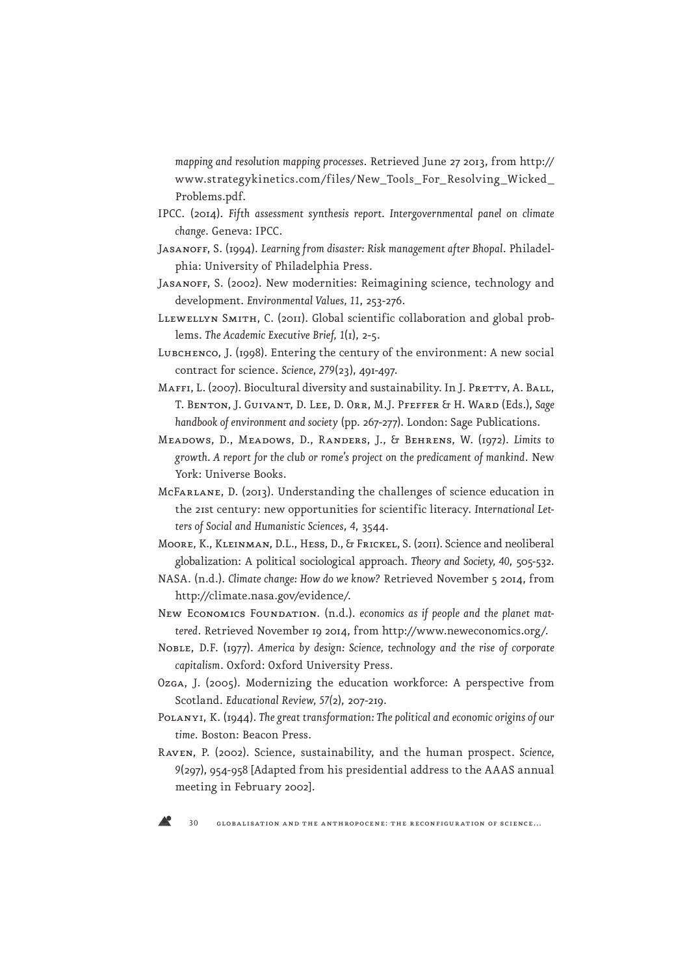*mapping and resolution mapping processes*. Retrieved June 27 2013, from http:// www.strategykinetics.com/files/New\_Tools\_For\_Resolving\_Wicked\_ Problems.pdf.

- IPCC. (2014). *Fifth assessment synthesis report. Intergovernmental panel on climate change*. Geneva: IPCC.
- JASANOFF, S. (1994). Learning from disaster: Risk management after Bhopal. Philadelphia: University of Philadelphia Press.
- JASANOFF, S. (2002). New modernities: Reimagining science, technology and development. *Environmental Values, 11*, 253-276.
- LLEWELLYN SMITH, C. (2011). Global scientific collaboration and global problems. *The Academic Executive Brief, 1*(1), 2-5.
- LUBCHENCO, J. (1998). Entering the century of the environment: A new social contract for science. *Science, 279*(23), 491-497.
- MAFFI, L. (2007). Biocultural diversity and sustainability. In J. PRETTY, A. BALL, T. Benton, J. Guivant, D. Lee, D. Orr, M.J. Pfeffer & H. Ward (Eds.), *Sage handbook of environment and society* (pp. 267-277). London: Sage Publications.
- Meadows, D., Meadows, D., Randers, J., & Behrens, W. (1972). *Limits to growth. A report for the club or rome's project on the predicament of mankind*. New York: Universe Books.
- McFarlane, D. (2013). Understanding the challenges of science education in the 21st century: new opportunities for scientific literacy. *International Letters of Social and Humanistic Sciences*, *4*, 3544.
- Moore, K., Kleinman, D.L., Hess, D., & Frickel, S. (2011). Science and neoliberal globalization: A political sociological approach. *Theory and Society, 40*, 505-532.
- NASA. (n.d.). *Climate change: How do we know?* Retrieved November 5 2014, from http://climate.nasa.gov/evidence/.
- NEW ECONOMICS FOUNDATION. (n.d.). economics as if people and the planet mat*tered*. Retrieved November 19 2014, from http://www.neweconomics.org/.
- Noble, D.F. (1977). *America by design: Science, technology and the rise of corporate capitalism*. Oxford: Oxford University Press.
- Ozga, J. (2005). Modernizing the education workforce: A perspective from Scotland. *Educational Review, 57(*2), 207-219.
- Polanyi, K. (1944). *The great transformation: The political and economic origins of our time*. Boston: Beacon Press.
- Raven, P. (2002). Science, sustainability, and the human prospect. *Science, 9*(297), 954-958 [Adapted from his presidential address to the AAAS annual meeting in February 2002].

30 globalisation and the anthropocene: the reconfiguration of science…